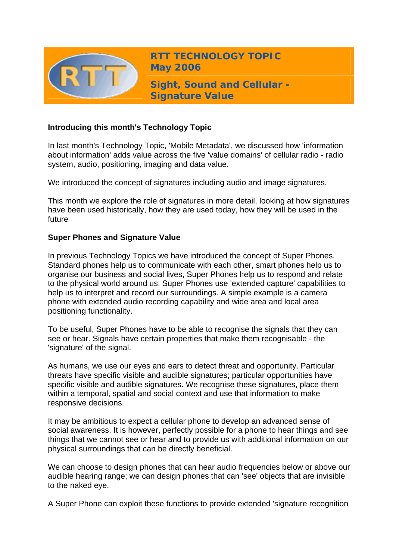

### **Introducing this month's Technology Topic**

In last month's Technology Topic, 'Mobile Metadata', we discussed how 'information about information' adds value across the five 'value domains' of cellular radio - radio system, audio, positioning, imaging and data value.

We introduced the concept of signatures including audio and image signatures.

This month we explore the role of signatures in more detail, looking at how signatures have been used historically, how they are used today, how they will be used in the future

### **Super Phones and Signature Value**

In previous Technology Topics we have introduced the concept of Super Phones. Standard phones help us to communicate with each other, smart phones help us to organise our business and social lives, Super Phones help us to respond and relate to the physical world around us. Super Phones use 'extended capture' capabilities to help us to interpret and record our surroundings. A simple example is a camera phone with extended audio recording capability and wide area and local area positioning functionality.

To be useful, Super Phones have to be able to recognise the signals that they can see or hear. Signals have certain properties that make them recognisable - the 'signature' of the signal.

As humans, we use our eyes and ears to detect threat and opportunity. Particular threats have specific visible and audible signatures; particular opportunities have specific visible and audible signatures. We recognise these signatures, place them within a temporal, spatial and social context and use that information to make responsive decisions.

It may be ambitious to expect a cellular phone to develop an advanced sense of social awareness. It is however, perfectly possible for a phone to hear things and see things that we cannot see or hear and to provide us with additional information on our physical surroundings that can be directly beneficial.

We can choose to design phones that can hear audio frequencies below or above our audible hearing range; we can design phones that can 'see' objects that are invisible to the naked eye.

A Super Phone can exploit these functions to provide extended 'signature recognition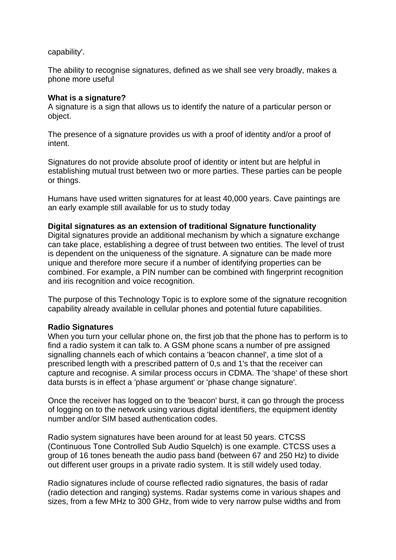capability'.

The ability to recognise signatures, defined as we shall see very broadly, makes a phone more useful

#### **What is a signature?**

A signature is a sign that allows us to identify the nature of a particular person or object.

The presence of a signature provides us with a proof of identity and/or a proof of intent.

Signatures do not provide absolute proof of identity or intent but are helpful in establishing mutual trust between two or more parties. These parties can be people or things.

Humans have used written signatures for at least 40,000 years. Cave paintings are an early example still available for us to study today

#### **Digital signatures as an extension of traditional Signature functionality**

Digital signatures provide an additional mechanism by which a signature exchange can take place, establishing a degree of trust between two entities. The level of trust is dependent on the uniqueness of the signature. A signature can be made more unique and therefore more secure if a number of identifying properties can be combined. For example, a PIN number can be combined with fingerprint recognition and iris recognition and voice recognition.

The purpose of this Technology Topic is to explore some of the signature recognition capability already available in cellular phones and potential future capabilities.

### **Radio Signatures**

When you turn your cellular phone on, the first job that the phone has to perform is to find a radio system it can talk to. A GSM phone scans a number of pre assigned signalling channels each of which contains a 'beacon channel', a time slot of a prescribed length with a prescribed pattern of 0,s and 1's that the receiver can capture and recognise. A similar process occurs in CDMA. The 'shape' of these short data bursts is in effect a 'phase argument' or 'phase change signature'.

Once the receiver has logged on to the 'beacon' burst, it can go through the process of logging on to the network using various digital identifiers, the equipment identity number and/or SIM based authentication codes.

Radio system signatures have been around for at least 50 years. CTCSS (Continuous Tone Controlled Sub Audio Squelch) is one example. CTCSS uses a group of 16 tones beneath the audio pass band (between 67 and 250 Hz) to divide out different user groups in a private radio system. It is still widely used today.

Radio signatures include of course reflected radio signatures, the basis of radar (radio detection and ranging) systems. Radar systems come in various shapes and sizes, from a few MHz to 300 GHz, from wide to very narrow pulse widths and from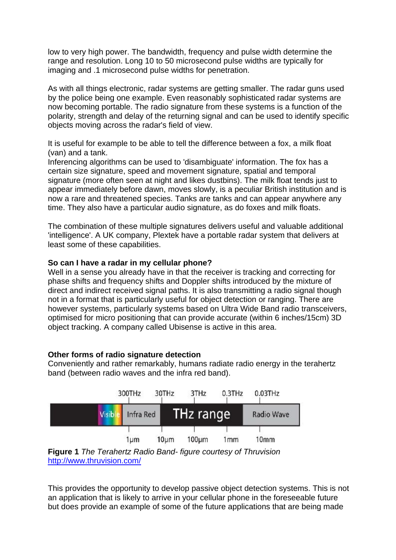low to very high power. The bandwidth, frequency and pulse width determine the range and resolution. Long 10 to 50 microsecond pulse widths are typically for imaging and .1 microsecond pulse widths for penetration.

As with all things electronic, radar systems are getting smaller. The radar guns used by the police being one example. Even reasonably sophisticated radar systems are now becoming portable. The radio signature from these systems is a function of the polarity, strength and delay of the returning signal and can be used to identify specific objects moving across the radar's field of view.

It is useful for example to be able to tell the difference between a fox, a milk float (van) and a tank.

Inferencing algorithms can be used to 'disambiguate' information. The fox has a certain size signature, speed and movement signature, spatial and temporal signature (more often seen at night and likes dustbins). The milk float tends just to appear immediately before dawn, moves slowly, is a peculiar British institution and is now a rare and threatened species. Tanks are tanks and can appear anywhere any time. They also have a particular audio signature, as do foxes and milk floats.

The combination of these multiple signatures delivers useful and valuable additional 'intelligence'. A UK company, Plextek have a portable radar system that delivers at least some of these capabilities.

### **So can I have a radar in my cellular phone?**

Well in a sense you already have in that the receiver is tracking and correcting for phase shifts and frequency shifts and Doppler shifts introduced by the mixture of direct and indirect received signal paths. It is also transmitting a radio signal though not in a format that is particularly useful for object detection or ranging. There are however systems, particularly systems based on Ultra Wide Band radio transceivers, optimised for micro positioning that can provide accurate (within 6 inches/15cm) 3D object tracking. A company called Ubisense is active in this area.

### **Other forms of radio signature detection**

Conveniently and rather remarkably, humans radiate radio energy in the terahertz band (between radio waves and the infra red band).





This provides the opportunity to develop passive object detection systems. This is not an application that is likely to arrive in your cellular phone in the foreseeable future but does provide an example of some of the future applications that are being made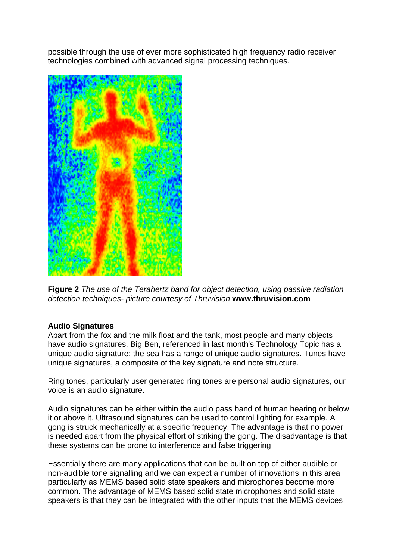possible through the use of ever more sophisticated high frequency radio receiver technologies combined with advanced signal processing techniques.



**Figure 2** *The use of the Terahertz band for object detection, using passive radiation detection techniques- picture courtesy of Thruvision* **www.thruvision.com** 

### **Audio Signatures**

Apart from the fox and the milk float and the tank, most people and many objects have audio signatures. Big Ben, referenced in last month's Technology Topic has a unique audio signature; the sea has a range of unique audio signatures. Tunes have unique signatures, a composite of the key signature and note structure.

Ring tones, particularly user generated ring tones are personal audio signatures, our voice is an audio signature.

Audio signatures can be either within the audio pass band of human hearing or below it or above it. Ultrasound signatures can be used to control lighting for example. A gong is struck mechanically at a specific frequency. The advantage is that no power is needed apart from the physical effort of striking the gong. The disadvantage is that these systems can be prone to interference and false triggering

Essentially there are many applications that can be built on top of either audible or non-audible tone signalling and we can expect a number of innovations in this area particularly as MEMS based solid state speakers and microphones become more common. The advantage of MEMS based solid state microphones and solid state speakers is that they can be integrated with the other inputs that the MEMS devices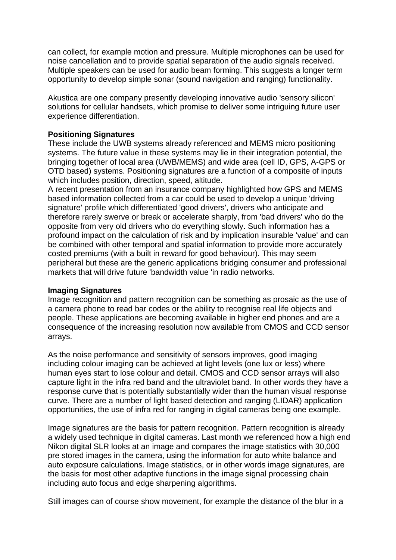can collect, for example motion and pressure. Multiple microphones can be used for noise cancellation and to provide spatial separation of the audio signals received. Multiple speakers can be used for audio beam forming. This suggests a longer term opportunity to develop simple sonar (sound navigation and ranging) functionality.

Akustica are one company presently developing innovative audio 'sensory silicon' solutions for cellular handsets, which promise to deliver some intriguing future user experience differentiation.

### **Positioning Signatures**

These include the UWB systems already referenced and MEMS micro positioning systems. The future value in these systems may lie in their integration potential, the bringing together of local area (UWB/MEMS) and wide area (cell ID, GPS, A-GPS or OTD based) systems. Positioning signatures are a function of a composite of inputs which includes position, direction, speed, altitude.

A recent presentation from an insurance company highlighted how GPS and MEMS based information collected from a car could be used to develop a unique 'driving signature' profile which differentiated 'good drivers', drivers who anticipate and therefore rarely swerve or break or accelerate sharply, from 'bad drivers' who do the opposite from very old drivers who do everything slowly. Such information has a profound impact on the calculation of risk and by implication insurable 'value' and can be combined with other temporal and spatial information to provide more accurately costed premiums (with a built in reward for good behaviour). This may seem peripheral but these are the generic applications bridging consumer and professional markets that will drive future 'bandwidth value 'in radio networks.

### **Imaging Signatures**

Image recognition and pattern recognition can be something as prosaic as the use of a camera phone to read bar codes or the ability to recognise real life objects and people. These applications are becoming available in higher end phones and are a consequence of the increasing resolution now available from CMOS and CCD sensor arrays.

As the noise performance and sensitivity of sensors improves, good imaging including colour imaging can be achieved at light levels (one lux or less) where human eyes start to lose colour and detail. CMOS and CCD sensor arrays will also capture light in the infra red band and the ultraviolet band. In other words they have a response curve that is potentially substantially wider than the human visual response curve. There are a number of light based detection and ranging (LIDAR) application opportunities, the use of infra red for ranging in digital cameras being one example.

Image signatures are the basis for pattern recognition. Pattern recognition is already a widely used technique in digital cameras. Last month we referenced how a high end Nikon digital SLR looks at an image and compares the image statistics with 30,000 pre stored images in the camera, using the information for auto white balance and auto exposure calculations. Image statistics, or in other words image signatures, are the basis for most other adaptive functions in the image signal processing chain including auto focus and edge sharpening algorithms.

Still images can of course show movement, for example the distance of the blur in a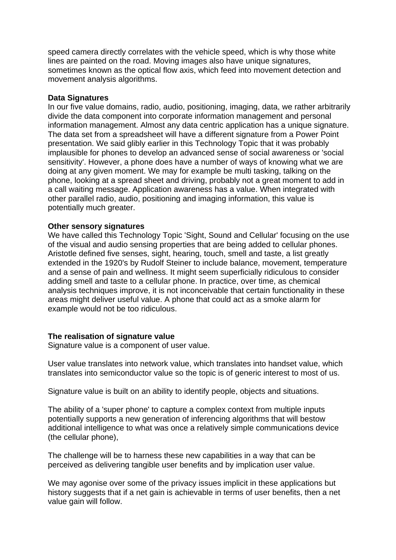speed camera directly correlates with the vehicle speed, which is why those white lines are painted on the road. Moving images also have unique signatures, sometimes known as the optical flow axis, which feed into movement detection and movement analysis algorithms.

## **Data Signatures**

In our five value domains, radio, audio, positioning, imaging, data, we rather arbitrarily divide the data component into corporate information management and personal information management. Almost any data centric application has a unique signature. The data set from a spreadsheet will have a different signature from a Power Point presentation. We said glibly earlier in this Technology Topic that it was probably implausible for phones to develop an advanced sense of social awareness or 'social sensitivity'. However, a phone does have a number of ways of knowing what we are doing at any given moment. We may for example be multi tasking, talking on the phone, looking at a spread sheet and driving, probably not a great moment to add in a call waiting message. Application awareness has a value. When integrated with other parallel radio, audio, positioning and imaging information, this value is potentially much greater.

### **Other sensory signatures**

We have called this Technology Topic 'Sight, Sound and Cellular' focusing on the use of the visual and audio sensing properties that are being added to cellular phones. Aristotle defined five senses, sight, hearing, touch, smell and taste, a list greatly extended in the 1920's by Rudolf Steiner to include balance, movement, temperature and a sense of pain and wellness. It might seem superficially ridiculous to consider adding smell and taste to a cellular phone. In practice, over time, as chemical analysis techniques improve, it is not inconceivable that certain functionality in these areas might deliver useful value. A phone that could act as a smoke alarm for example would not be too ridiculous.

### **The realisation of signature value**

Signature value is a component of user value.

User value translates into network value, which translates into handset value, which translates into semiconductor value so the topic is of generic interest to most of us.

Signature value is built on an ability to identify people, objects and situations.

The ability of a 'super phone' to capture a complex context from multiple inputs potentially supports a new generation of inferencing algorithms that will bestow additional intelligence to what was once a relatively simple communications device (the cellular phone),

The challenge will be to harness these new capabilities in a way that can be perceived as delivering tangible user benefits and by implication user value.

We may agonise over some of the privacy issues implicit in these applications but history suggests that if a net gain is achievable in terms of user benefits, then a net value gain will follow.